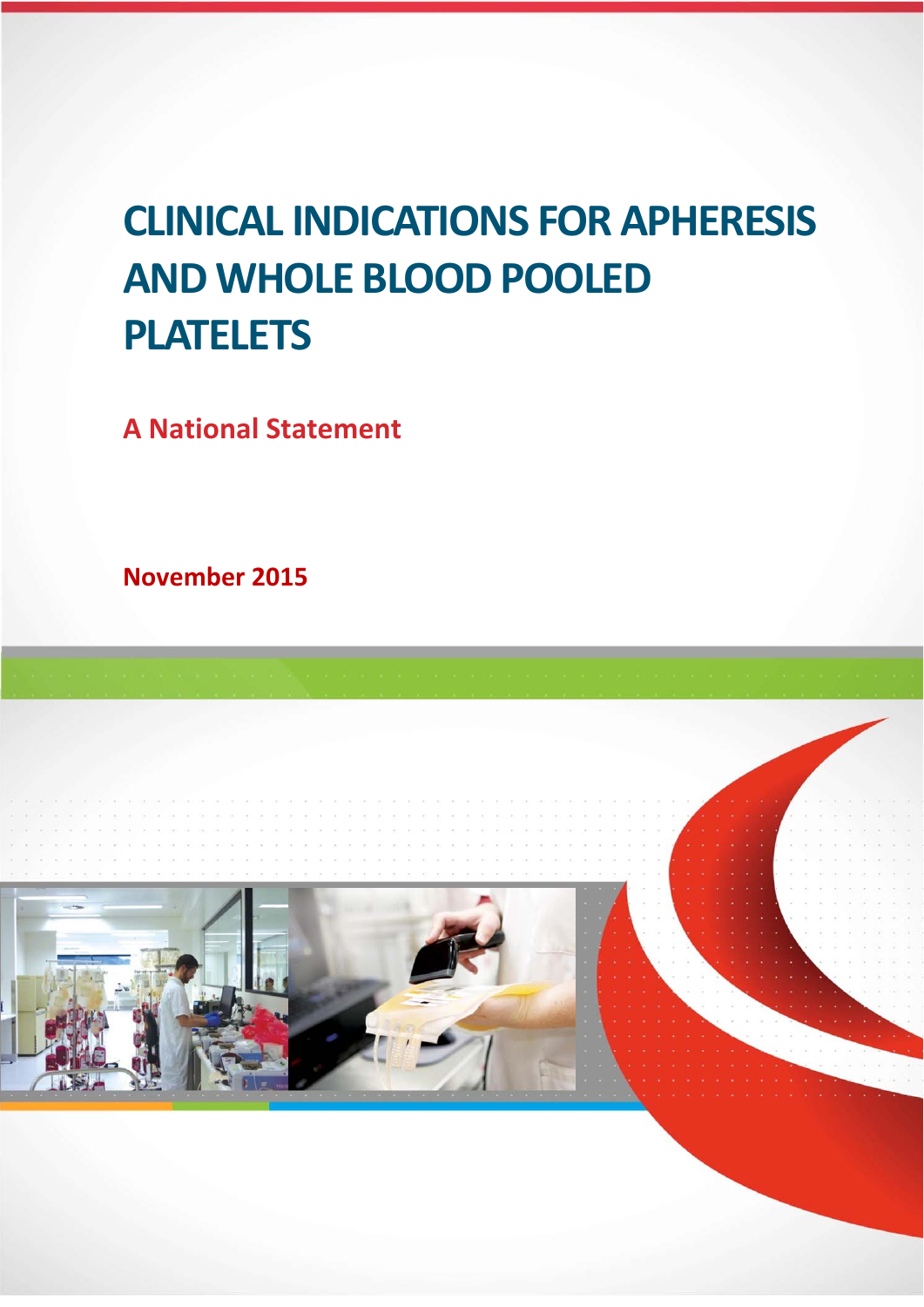# **CLINICAL INDICATIONS FOR APHERESIS AND WHOLE BLOOD POOLED PLATELETS**

**A National Statement** 

**November 2015** 

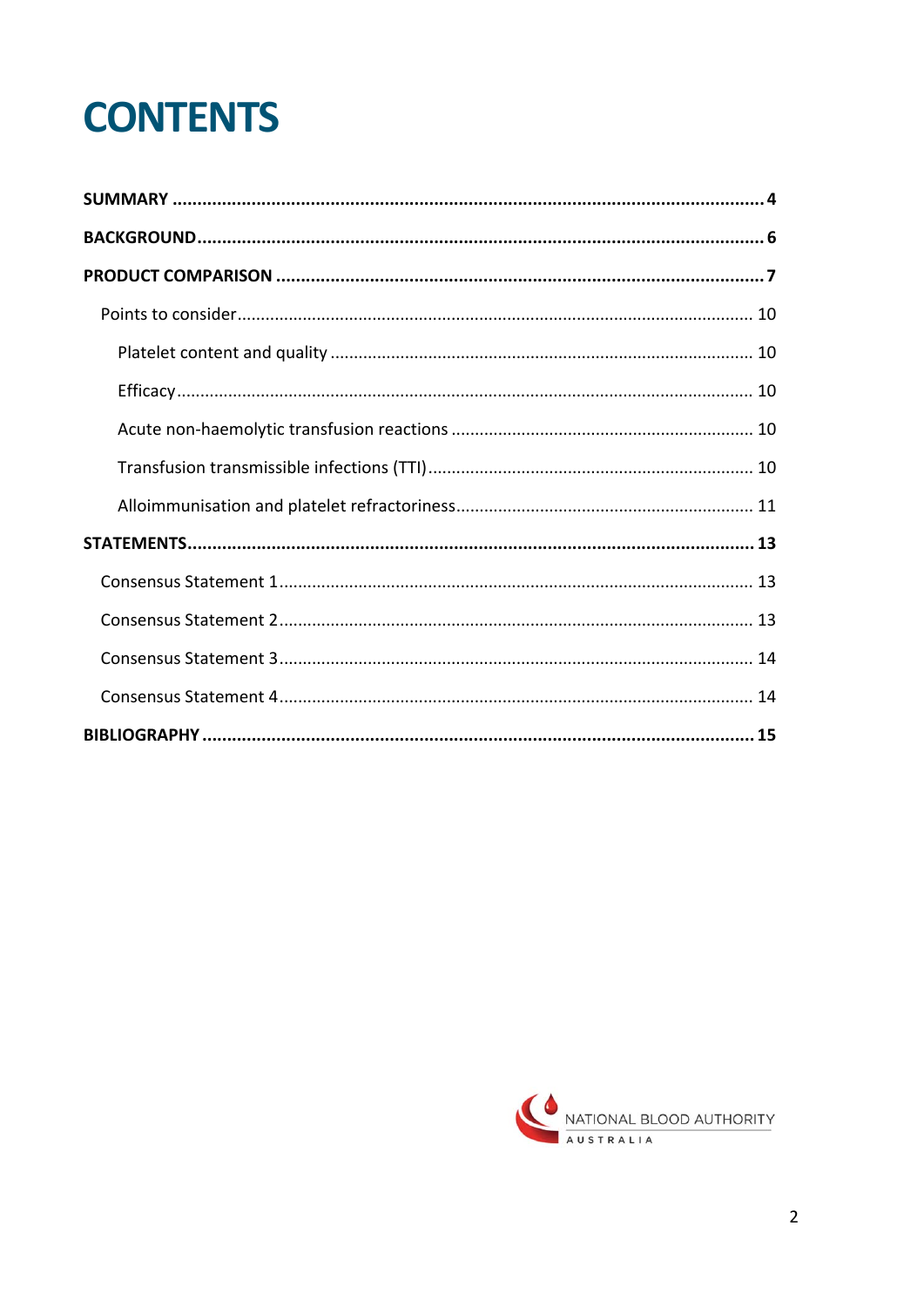# **CONTENTS**

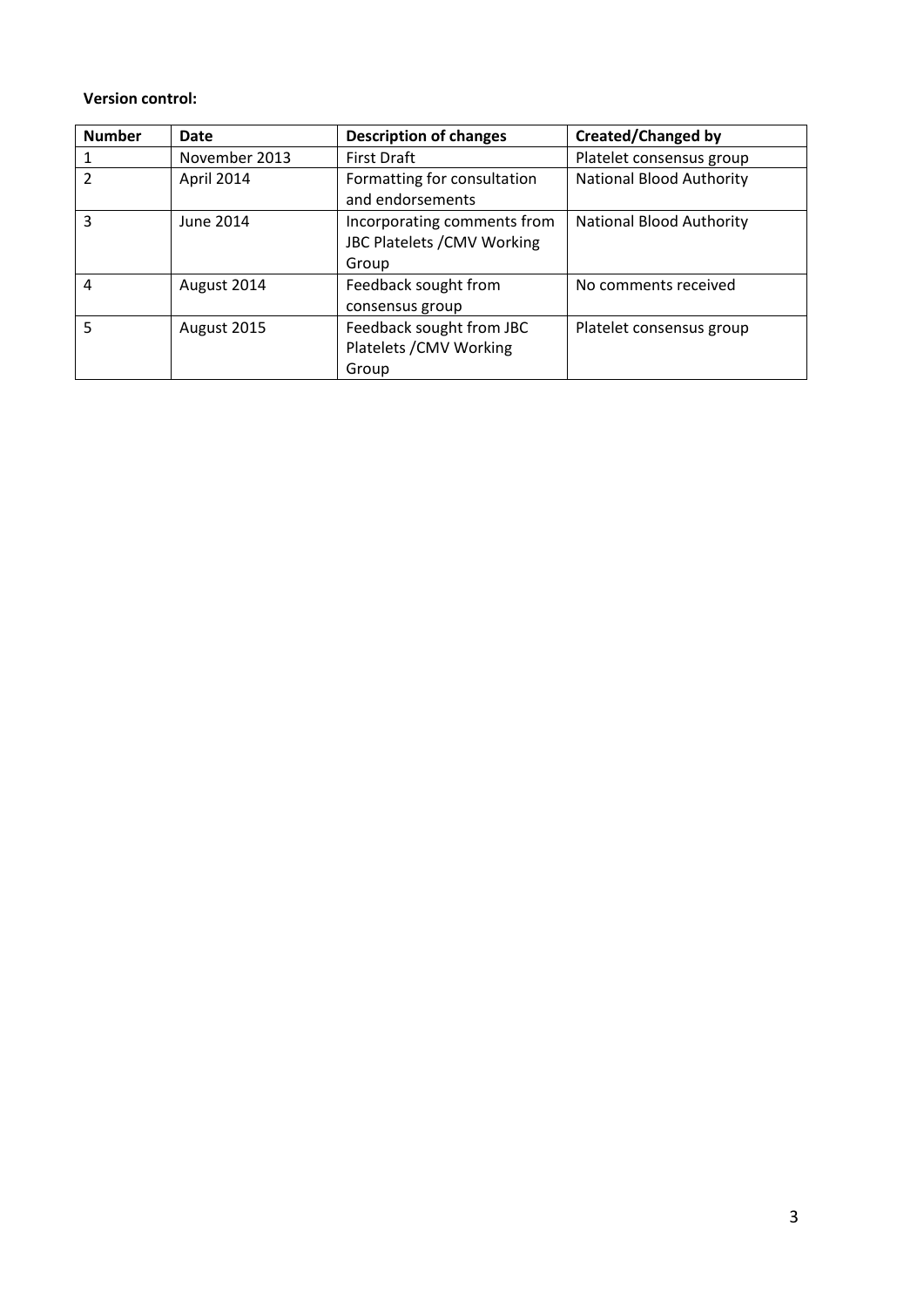#### **Version control:**

| <b>Number</b> | Date          | <b>Description of changes</b>                                       | <b>Created/Changed by</b>       |
|---------------|---------------|---------------------------------------------------------------------|---------------------------------|
|               | November 2013 | <b>First Draft</b>                                                  | Platelet consensus group        |
| 2             | April 2014    | Formatting for consultation<br>and endorsements                     | <b>National Blood Authority</b> |
| 3             | June 2014     | Incorporating comments from<br>JBC Platelets / CMV Working<br>Group | <b>National Blood Authority</b> |
| 4             | August 2014   | Feedback sought from<br>consensus group                             | No comments received            |
| 5             | August 2015   | Feedback sought from JBC<br>Platelets / CMV Working<br>Group        | Platelet consensus group        |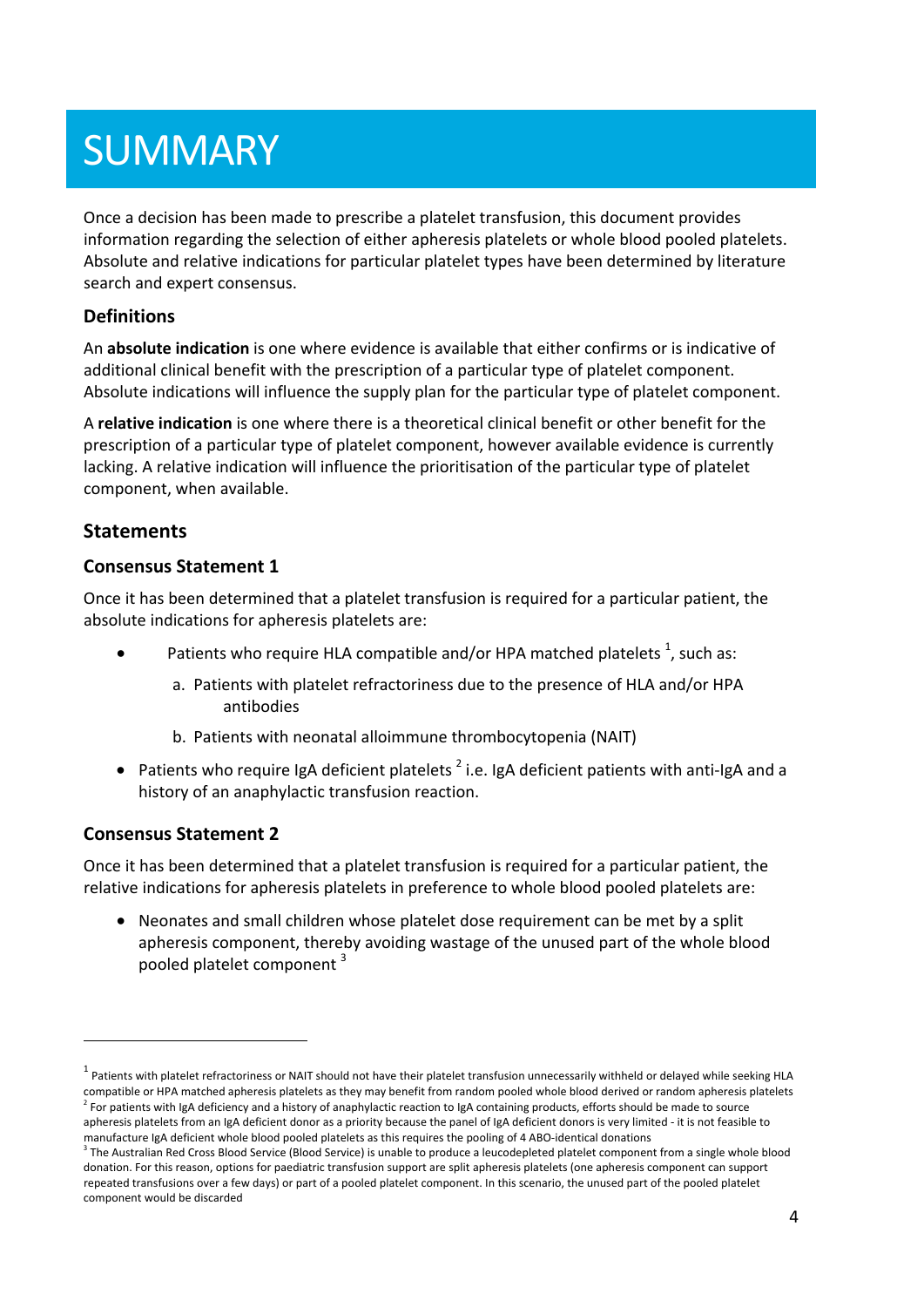# **SUMMARY**

Once a decision has been made to prescribe a platelet transfusion, this document provides information regarding the selection of either apheresis platelets or whole blood pooled platelets. Absolute and relative indications for particular platelet types have been determined by literature search and expert consensus.

### **Definitions**

An **absolute indication** is one where evidence is available that either confirms or is indicative of additional clinical benefit with the prescription of a particular type of platelet component. Absolute indications will influence the supply plan for the particular type of platelet component.

A **relative indication** is one where there is a theoretical clinical benefit or other benefit for the prescription of a particular type of platelet component, however available evidence is currently lacking. A relative indication will influence the prioritisation of the particular type of platelet component, when available.

## **Statements**

### **Consensus Statement 1**

Once it has been determined that a platelet transfusion is required for a particular patient, the absolute indications for apheresis platelets are:

- Patients who require HLA compatible and/or HPA matched platelets  $^1$ , such as:
	- a. Patients with platelet refractoriness due to the presence of HLA and/or HPA antibodies
	- b. Patients with neonatal alloimmune thrombocytopenia (NAIT)
- Patients who require IgA deficient platelets  $2$  i.e. IgA deficient patients with anti-IgA and a history of an anaphylactic transfusion reaction.

### **Consensus Statement 2**

Once it has been determined that a platelet transfusion is required for a particular patient, the relative indications for apheresis platelets in preference to whole blood pooled platelets are:

 Neonates and small children whose platelet dose requirement can be met by a split apheresis component, thereby avoiding wastage of the unused part of the whole blood pooled platelet component<sup>3</sup>

 $1$  Patients with platelet refractoriness or NAIT should not have their platelet transfusion unnecessarily withheld or delayed while seeking HLA compatible or HPA matched apheresis platelets as they may benefit from random pooled whole blood derived or random apheresis platelets  $^2$  For patients with IgA deficiency and a history of anaphylactic reaction to IgA containing products, efforts should be made to source apheresis platelets from an IgA deficient donor as a priority because the panel of IgA deficient donors is very limited - it is not feasible to manufacture IgA deficient whole blood pooled platelets as this requires the pooling of 4 ABO‐identical donations

 $3$  The Australian Red Cross Blood Service (Blood Service) is unable to produce a leucodepleted platelet component from a single whole blood donation. For this reason, options for paediatric transfusion support are split apheresis platelets (one apheresis component can support repeated transfusions over a few days) or part of a pooled platelet component. In this scenario, the unused part of the pooled platelet component would be discarded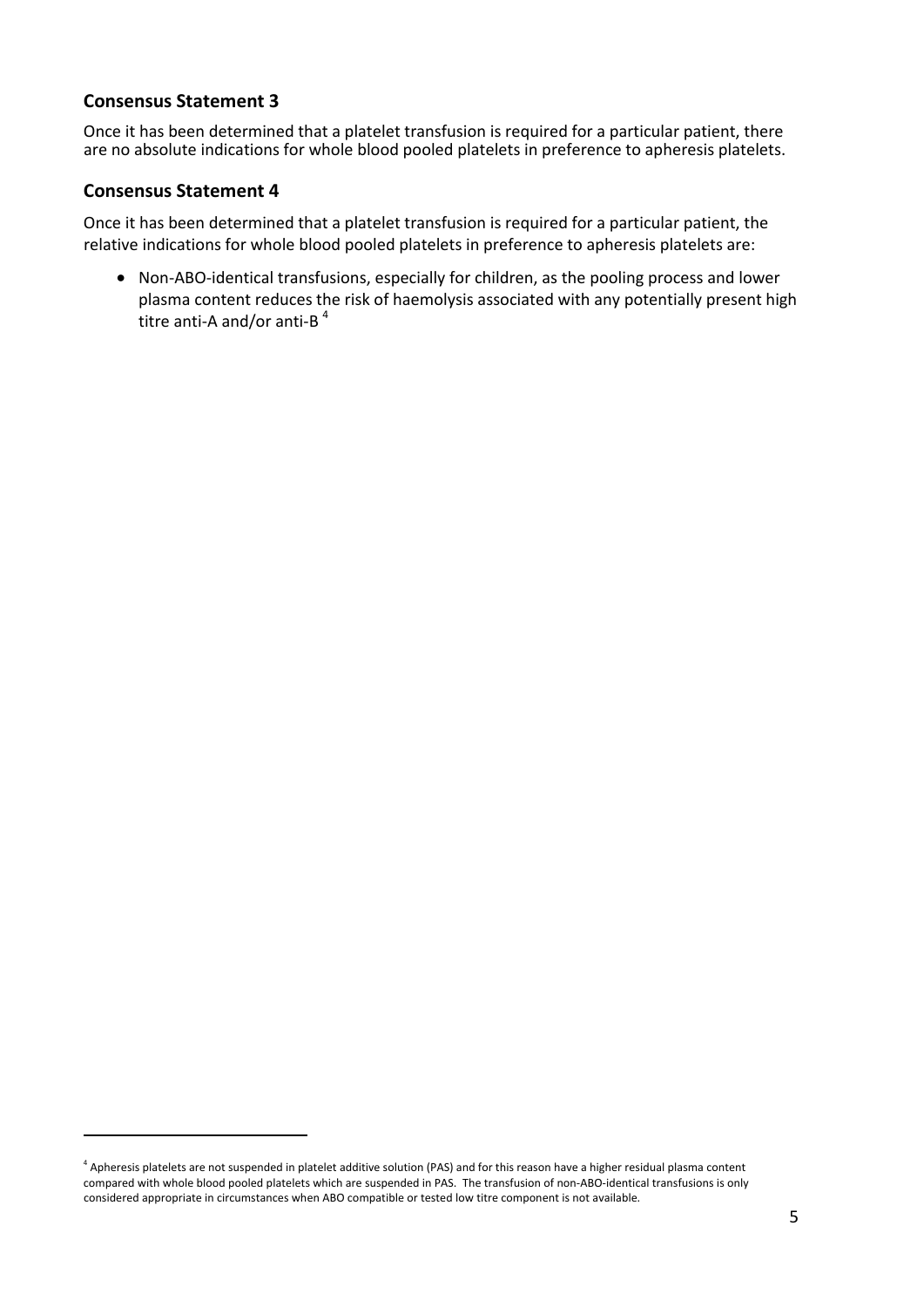### **Consensus Statement 3**

Once it has been determined that a platelet transfusion is required for a particular patient, there are no absolute indications for whole blood pooled platelets in preference to apheresis platelets.

#### **Consensus Statement 4**

Once it has been determined that a platelet transfusion is required for a particular patient, the relative indications for whole blood pooled platelets in preference to apheresis platelets are:

● Non-ABO-identical transfusions, especially for children, as the pooling process and lower plasma content reduces the risk of haemolysis associated with any potentially present high titre anti-A and/or anti-B<sup>4</sup>

<sup>&</sup>lt;sup>4</sup> Apheresis platelets are not suspended in platelet additive solution (PAS) and for this reason have a higher residual plasma content compared with whole blood pooled platelets which are suspended in PAS. The transfusion of non‐ABO‐identical transfusions is only considered appropriate in circumstances when ABO compatible or tested low titre component is not available.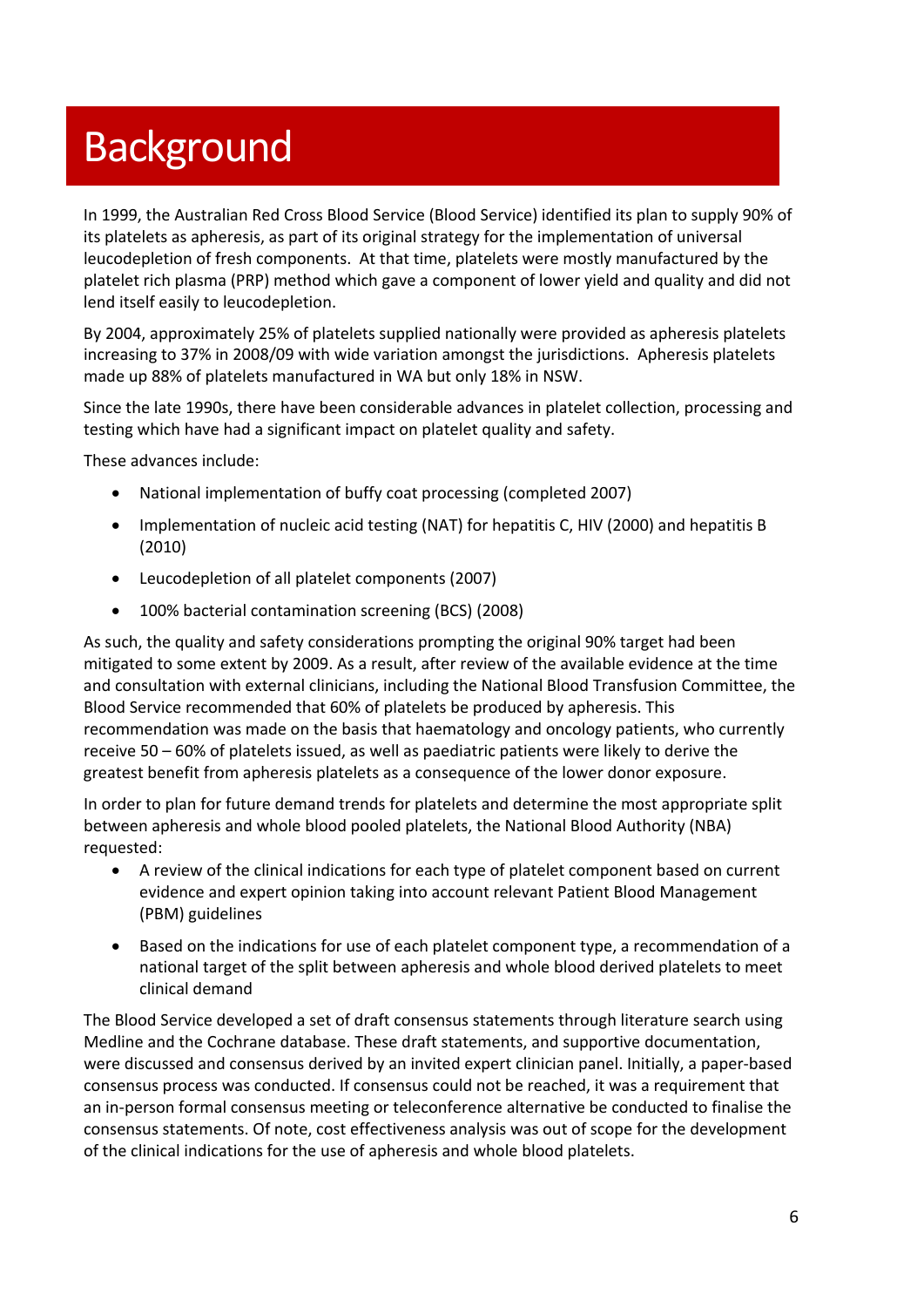# **Background**

In 1999, the Australian Red Cross Blood Service (Blood Service) identified its plan to supply 90% of its platelets as apheresis, as part of its original strategy for the implementation of universal leucodepletion of fresh components. At that time, platelets were mostly manufactured by the platelet rich plasma (PRP) method which gave a component of lower yield and quality and did not lend itself easily to leucodepletion.

By 2004, approximately 25% of platelets supplied nationally were provided as apheresis platelets increasing to 37% in 2008/09 with wide variation amongst the jurisdictions. Apheresis platelets made up 88% of platelets manufactured in WA but only 18% in NSW.

Since the late 1990s, there have been considerable advances in platelet collection, processing and testing which have had a significant impact on platelet quality and safety.

These advances include:

- National implementation of buffy coat processing (completed 2007)
- Implementation of nucleic acid testing (NAT) for hepatitis C, HIV (2000) and hepatitis B (2010)
- Leucodepletion of all platelet components (2007)
- 100% bacterial contamination screening (BCS) (2008)

As such, the quality and safety considerations prompting the original 90% target had been mitigated to some extent by 2009. As a result, after review of the available evidence at the time and consultation with external clinicians, including the National Blood Transfusion Committee, the Blood Service recommended that 60% of platelets be produced by apheresis. This recommendation was made on the basis that haematology and oncology patients, who currently receive 50 – 60% of platelets issued, as well as paediatric patients were likely to derive the greatest benefit from apheresis platelets as a consequence of the lower donor exposure.

In order to plan for future demand trends for platelets and determine the most appropriate split between apheresis and whole blood pooled platelets, the National Blood Authority (NBA) requested:

- A review of the clinical indications for each type of platelet component based on current evidence and expert opinion taking into account relevant Patient Blood Management (PBM) guidelines
- Based on the indications for use of each platelet component type, a recommendation of a national target of the split between apheresis and whole blood derived platelets to meet clinical demand

The Blood Service developed a set of draft consensus statements through literature search using Medline and the Cochrane database. These draft statements, and supportive documentation, were discussed and consensus derived by an invited expert clinician panel. Initially, a paper-based consensus process was conducted. If consensus could not be reached, it was a requirement that an in-person formal consensus meeting or teleconference alternative be conducted to finalise the consensus statements. Of note, cost effectiveness analysis was out of scope for the development of the clinical indications for the use of apheresis and whole blood platelets.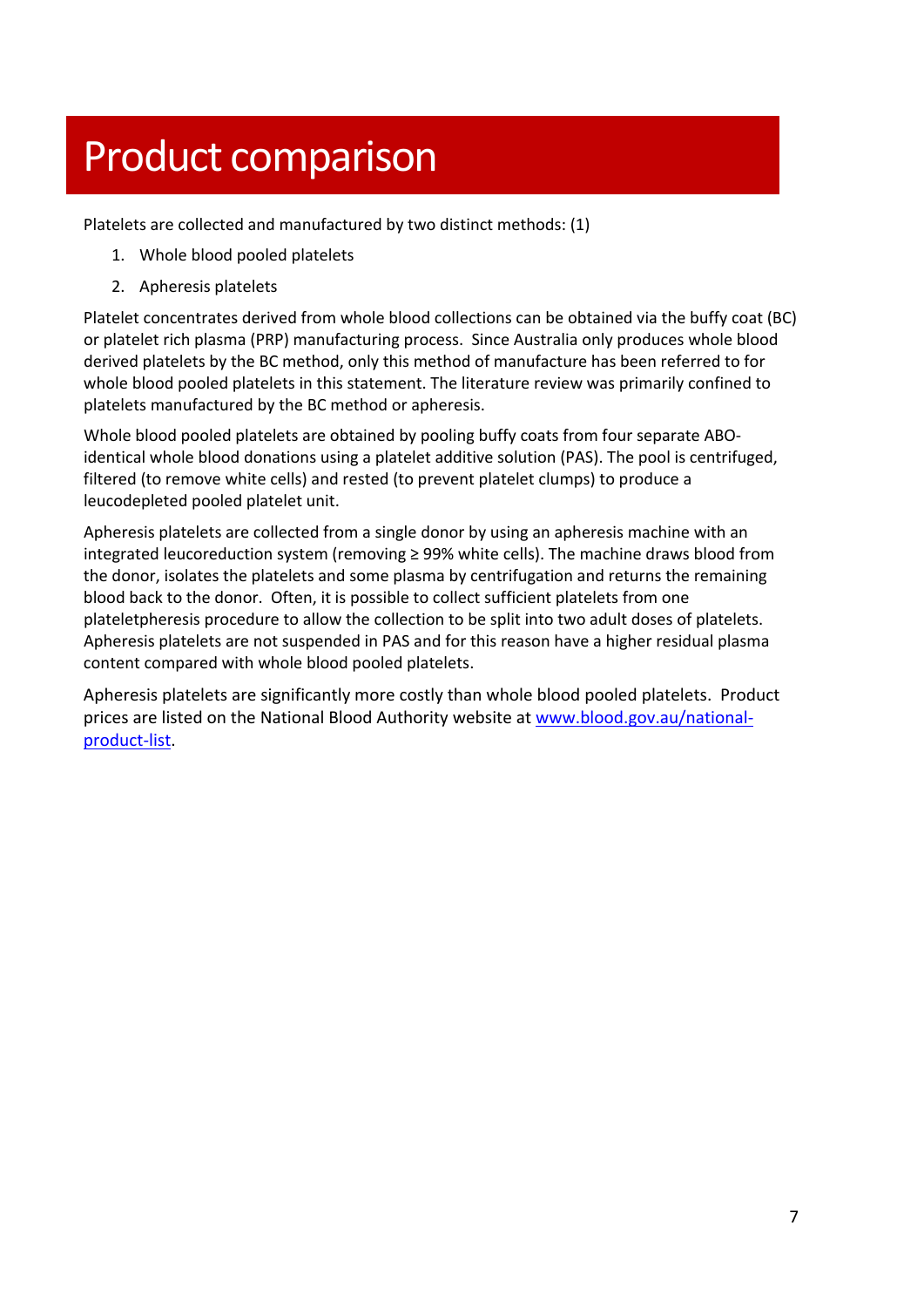# Product comparison

Platelets are collected and manufactured by two distinct methods: (1)

- 1. Whole blood pooled platelets
- 2. Apheresis platelets

Platelet concentrates derived from whole blood collections can be obtained via the buffy coat (BC) or platelet rich plasma (PRP) manufacturing process. Since Australia only produces whole blood derived platelets by the BC method, only this method of manufacture has been referred to for whole blood pooled platelets in this statement. The literature review was primarily confined to platelets manufactured by the BC method or apheresis.

Whole blood pooled platelets are obtained by pooling buffy coats from four separate ABOidentical whole blood donations using a platelet additive solution (PAS). The pool is centrifuged, filtered (to remove white cells) and rested (to prevent platelet clumps) to produce a leucodepleted pooled platelet unit.

Apheresis platelets are collected from a single donor by using an apheresis machine with an integrated leucoreduction system (removing ≥ 99% white cells). The machine draws blood from the donor, isolates the platelets and some plasma by centrifugation and returns the remaining blood back to the donor. Often, it is possible to collect sufficient platelets from one plateletpheresis procedure to allow the collection to be split into two adult doses of platelets. Apheresis platelets are not suspended in PAS and for this reason have a higher residual plasma content compared with whole blood pooled platelets.

Apheresis platelets are significantly more costly than whole blood pooled platelets. Product prices are listed on the National Blood Authority website at www.blood.gov.au/nationalproduct‐list.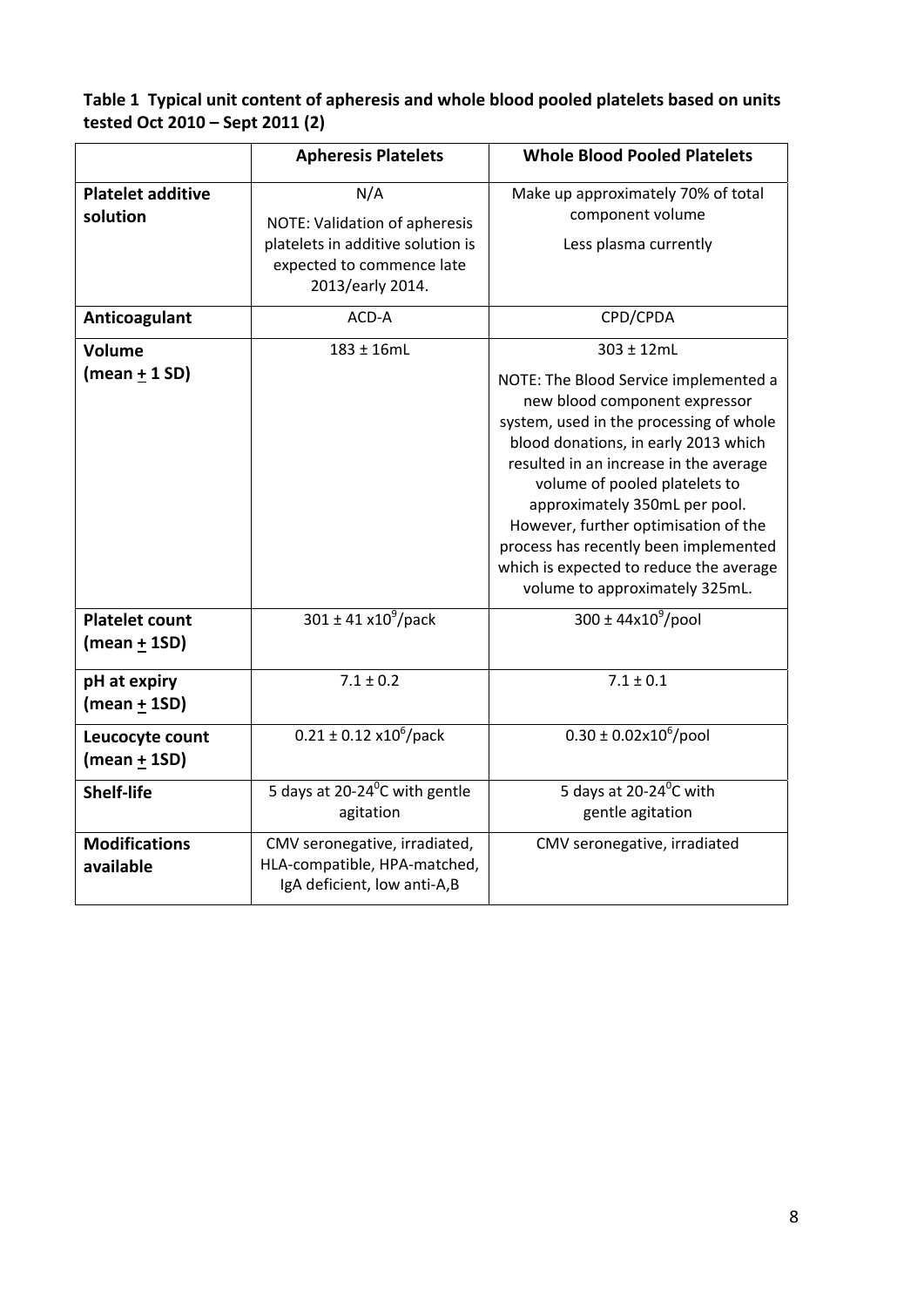## **Table 1 Typical unit content of apheresis and whole blood pooled platelets based on units tested Oct 2010 – Sept 2011 (2)**

|                                         | <b>Apheresis Platelets</b>                                                                                                 | <b>Whole Blood Pooled Platelets</b>                                                                                                                                                                                                                                                                                                                                                                                                               |
|-----------------------------------------|----------------------------------------------------------------------------------------------------------------------------|---------------------------------------------------------------------------------------------------------------------------------------------------------------------------------------------------------------------------------------------------------------------------------------------------------------------------------------------------------------------------------------------------------------------------------------------------|
| <b>Platelet additive</b><br>solution    | N/A<br>NOTE: Validation of apheresis<br>platelets in additive solution is<br>expected to commence late<br>2013/early 2014. | Make up approximately 70% of total<br>component volume<br>Less plasma currently                                                                                                                                                                                                                                                                                                                                                                   |
| Anticoagulant                           | ACD-A                                                                                                                      | CPD/CPDA                                                                                                                                                                                                                                                                                                                                                                                                                                          |
| <b>Volume</b><br>(mean $\pm$ 1 SD)      | $183 \pm 16$ mL                                                                                                            | 303 ± 12mL<br>NOTE: The Blood Service implemented a<br>new blood component expressor<br>system, used in the processing of whole<br>blood donations, in early 2013 which<br>resulted in an increase in the average<br>volume of pooled platelets to<br>approximately 350mL per pool.<br>However, further optimisation of the<br>process has recently been implemented<br>which is expected to reduce the average<br>volume to approximately 325mL. |
| <b>Platelet count</b><br>(mean $+$ 1SD) | $301 \pm 41 \times 10^9$ /pack                                                                                             | $300 \pm 44 \times 10^9$ /pool                                                                                                                                                                                                                                                                                                                                                                                                                    |
| pH at expiry<br>$(mean + 1SD)$          | $7.1 \pm 0.2$                                                                                                              | $7.1 \pm 0.1$                                                                                                                                                                                                                                                                                                                                                                                                                                     |
| Leucocyte count<br>(mean $\pm$ 1SD)     | $0.21 \pm 0.12 \times 10^6$ /pack                                                                                          | $0.30 \pm 0.02 \times 10^6$ /pool                                                                                                                                                                                                                                                                                                                                                                                                                 |
| <b>Shelf-life</b>                       | 5 days at 20-24 $\mathrm{^0C}$ with gentle<br>agitation                                                                    | 5 days at 20-24 <sup>°</sup> C with<br>gentle agitation                                                                                                                                                                                                                                                                                                                                                                                           |
| <b>Modifications</b><br>available       | CMV seronegative, irradiated,<br>HLA-compatible, HPA-matched,<br>IgA deficient, low anti-A,B                               | CMV seronegative, irradiated                                                                                                                                                                                                                                                                                                                                                                                                                      |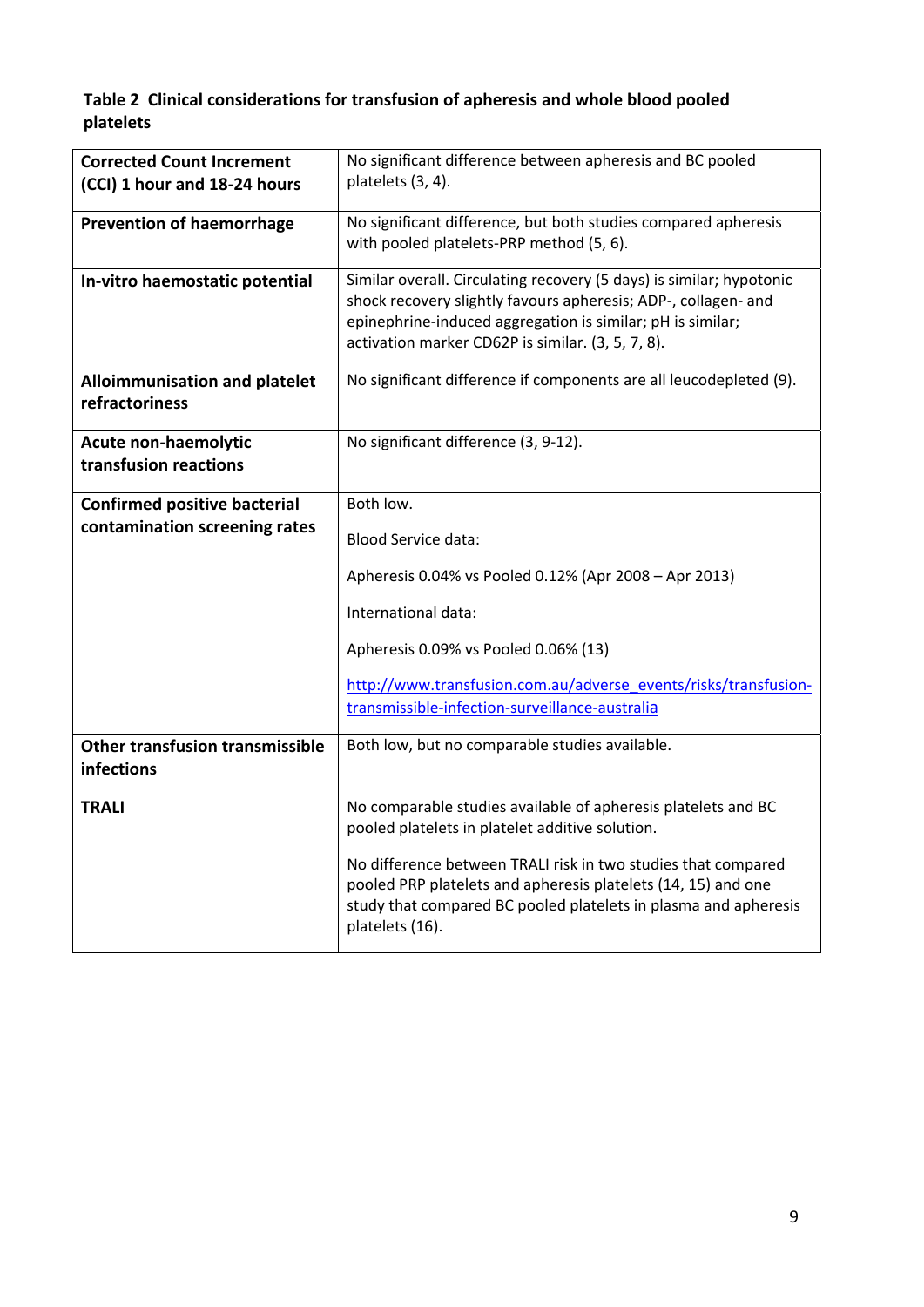## **Table 2 Clinical considerations for transfusion of apheresis and whole blood pooled platelets**

| <b>Corrected Count Increment</b><br>(CCI) 1 hour and 18-24 hours | No significant difference between apheresis and BC pooled<br>platelets (3, 4).                                                                                                                                                                            |  |
|------------------------------------------------------------------|-----------------------------------------------------------------------------------------------------------------------------------------------------------------------------------------------------------------------------------------------------------|--|
|                                                                  |                                                                                                                                                                                                                                                           |  |
| <b>Prevention of haemorrhage</b>                                 | No significant difference, but both studies compared apheresis<br>with pooled platelets-PRP method (5, 6).                                                                                                                                                |  |
| In-vitro haemostatic potential                                   | Similar overall. Circulating recovery (5 days) is similar; hypotonic<br>shock recovery slightly favours apheresis; ADP-, collagen- and<br>epinephrine-induced aggregation is similar; pH is similar;<br>activation marker CD62P is similar. (3, 5, 7, 8). |  |
| <b>Alloimmunisation and platelet</b><br>refractoriness           | No significant difference if components are all leucodepleted (9).                                                                                                                                                                                        |  |
| Acute non-haemolytic<br>transfusion reactions                    | No significant difference (3, 9-12).                                                                                                                                                                                                                      |  |
| <b>Confirmed positive bacterial</b>                              | Both low.                                                                                                                                                                                                                                                 |  |
| contamination screening rates                                    |                                                                                                                                                                                                                                                           |  |
|                                                                  | <b>Blood Service data:</b>                                                                                                                                                                                                                                |  |
|                                                                  | Apheresis 0.04% vs Pooled 0.12% (Apr 2008 - Apr 2013)                                                                                                                                                                                                     |  |
|                                                                  | International data:                                                                                                                                                                                                                                       |  |
|                                                                  | Apheresis 0.09% vs Pooled 0.06% (13)                                                                                                                                                                                                                      |  |
|                                                                  | http://www.transfusion.com.au/adverse_events/risks/transfusion-                                                                                                                                                                                           |  |
|                                                                  | transmissible-infection-surveillance-australia                                                                                                                                                                                                            |  |
| Other transfusion transmissible<br>infections                    | Both low, but no comparable studies available.                                                                                                                                                                                                            |  |
| <b>TRALI</b>                                                     | No comparable studies available of apheresis platelets and BC<br>pooled platelets in platelet additive solution.                                                                                                                                          |  |
|                                                                  | No difference between TRALI risk in two studies that compared<br>pooled PRP platelets and apheresis platelets (14, 15) and one<br>study that compared BC pooled platelets in plasma and apheresis<br>platelets (16).                                      |  |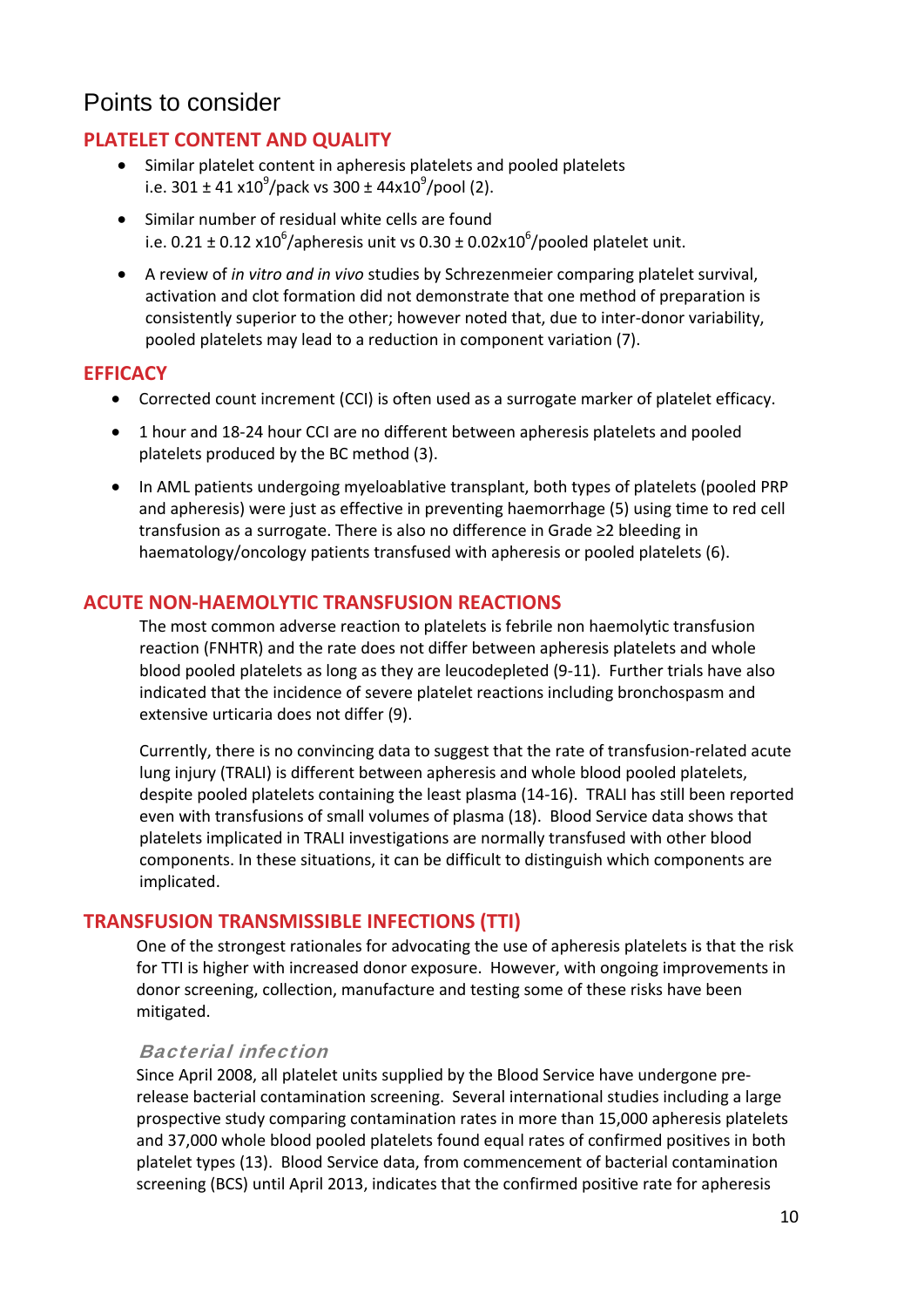## Points to consider

## **PLATELET CONTENT AND QUALITY**

- Similar platelet content in apheresis platelets and pooled platelets i.e. 301 ± 41 x10<sup>9</sup>/pack vs 300 ± 44x10<sup>9</sup>/pool (2).
- Similar number of residual white cells are found i.e. 0.21  $\pm$  0.12 x10<sup>6</sup>/apheresis unit vs 0.30  $\pm$  0.02x10<sup>6</sup>/pooled platelet unit.
- A review of *in vitro and in vivo* studies by Schrezenmeier comparing platelet survival, activation and clot formation did not demonstrate that one method of preparation is consistently superior to the other; however noted that, due to inter‐donor variability, pooled platelets may lead to a reduction in component variation (7).

### **EFFICACY**

- Corrected count increment (CCI) is often used as a surrogate marker of platelet efficacy.
- 1 hour and 18-24 hour CCI are no different between apheresis platelets and pooled platelets produced by the BC method (3).
- In AML patients undergoing myeloablative transplant, both types of platelets (pooled PRP) and apheresis) were just as effective in preventing haemorrhage (5) using time to red cell transfusion as a surrogate. There is also no difference in Grade ≥2 bleeding in haematology/oncology patients transfused with apheresis or pooled platelets (6).

### **ACUTE NON‐HAEMOLYTIC TRANSFUSION REACTIONS**

The most common adverse reaction to platelets is febrile non haemolytic transfusion reaction (FNHTR) and the rate does not differ between apheresis platelets and whole blood pooled platelets as long as they are leucodepleted (9‐11). Further trials have also indicated that the incidence of severe platelet reactions including bronchospasm and extensive urticaria does not differ (9).

Currently, there is no convincing data to suggest that the rate of transfusion‐related acute lung injury (TRALI) is different between apheresis and whole blood pooled platelets, despite pooled platelets containing the least plasma (14‐16). TRALI has still been reported even with transfusions of small volumes of plasma (18). Blood Service data shows that platelets implicated in TRALI investigations are normally transfused with other blood components. In these situations, it can be difficult to distinguish which components are implicated.

### **TRANSFUSION TRANSMISSIBLE INFECTIONS (TTI)**

One of the strongest rationales for advocating the use of apheresis platelets is that the risk for TTI is higher with increased donor exposure. However, with ongoing improvements in donor screening, collection, manufacture and testing some of these risks have been mitigated.

### Bacterial infection

Since April 2008, all platelet units supplied by the Blood Service have undergone pre‐ release bacterial contamination screening. Several international studies including a large prospective study comparing contamination rates in more than 15,000 apheresis platelets and 37,000 whole blood pooled platelets found equal rates of confirmed positives in both platelet types (13). Blood Service data, from commencement of bacterial contamination screening (BCS) until April 2013, indicates that the confirmed positive rate for apheresis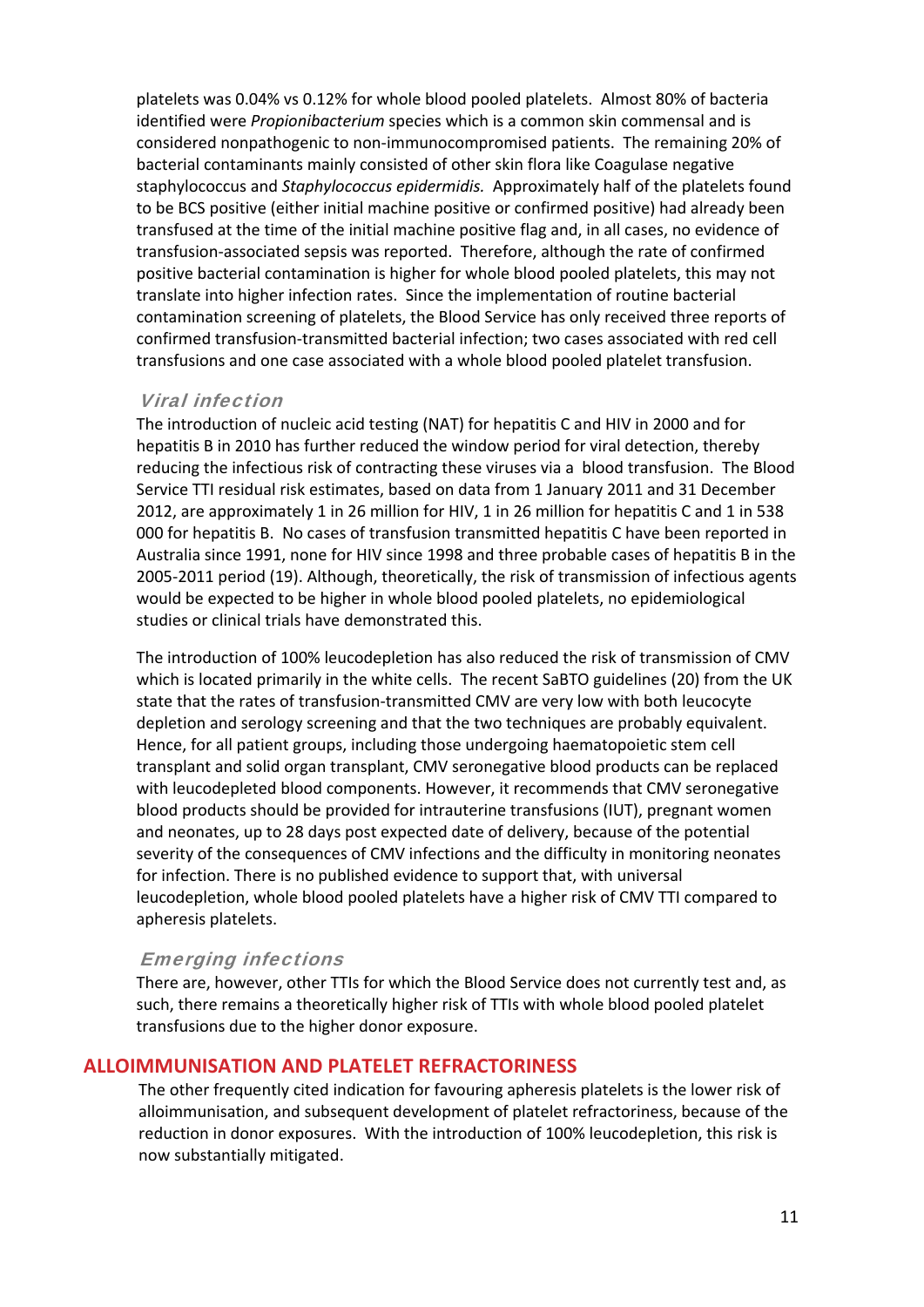platelets was 0.04% vs 0.12% for whole blood pooled platelets. Almost 80% of bacteria identified were *Propionibacterium* species which is a common skin commensal and is considered nonpathogenic to non‐immunocompromised patients. The remaining 20% of bacterial contaminants mainly consisted of other skin flora like Coagulase negative staphylococcus and *Staphylococcus epidermidis.* Approximately half of the platelets found to be BCS positive (either initial machine positive or confirmed positive) had already been transfused at the time of the initial machine positive flag and, in all cases, no evidence of transfusion‐associated sepsis was reported. Therefore, although the rate of confirmed positive bacterial contamination is higher for whole blood pooled platelets, this may not translate into higher infection rates. Since the implementation of routine bacterial contamination screening of platelets, the Blood Service has only received three reports of confirmed transfusion‐transmitted bacterial infection; two cases associated with red cell transfusions and one case associated with a whole blood pooled platelet transfusion.

### Viral infection

The introduction of nucleic acid testing (NAT) for hepatitis C and HIV in 2000 and for hepatitis B in 2010 has further reduced the window period for viral detection, thereby reducing the infectious risk of contracting these viruses via a blood transfusion. The Blood Service TTI residual risk estimates, based on data from 1 January 2011 and 31 December 2012, are approximately 1 in 26 million for HIV, 1 in 26 million for hepatitis C and 1 in 538 000 for hepatitis B. No cases of transfusion transmitted hepatitis C have been reported in Australia since 1991, none for HIV since 1998 and three probable cases of hepatitis B in the 2005‐2011 period (19). Although, theoretically, the risk of transmission of infectious agents would be expected to be higher in whole blood pooled platelets, no epidemiological studies or clinical trials have demonstrated this.

The introduction of 100% leucodepletion has also reduced the risk of transmission of CMV which is located primarily in the white cells. The recent SaBTO guidelines (20) from the UK state that the rates of transfusion‐transmitted CMV are very low with both leucocyte depletion and serology screening and that the two techniques are probably equivalent. Hence, for all patient groups, including those undergoing haematopoietic stem cell transplant and solid organ transplant, CMV seronegative blood products can be replaced with leucodepleted blood components. However, it recommends that CMV seronegative blood products should be provided for intrauterine transfusions (IUT), pregnant women and neonates, up to 28 days post expected date of delivery, because of the potential severity of the consequences of CMV infections and the difficulty in monitoring neonates for infection. There is no published evidence to support that, with universal leucodepletion, whole blood pooled platelets have a higher risk of CMV TTI compared to apheresis platelets.

### Emerging infections

There are, however, other TTIs for which the Blood Service does not currently test and, as such, there remains a theoretically higher risk of TTIs with whole blood pooled platelet transfusions due to the higher donor exposure.

### **ALLOIMMUNISATION AND PLATELET REFRACTORINESS**

The other frequently cited indication for favouring apheresis platelets is the lower risk of alloimmunisation, and subsequent development of platelet refractoriness, because of the reduction in donor exposures. With the introduction of 100% leucodepletion, this risk is now substantially mitigated.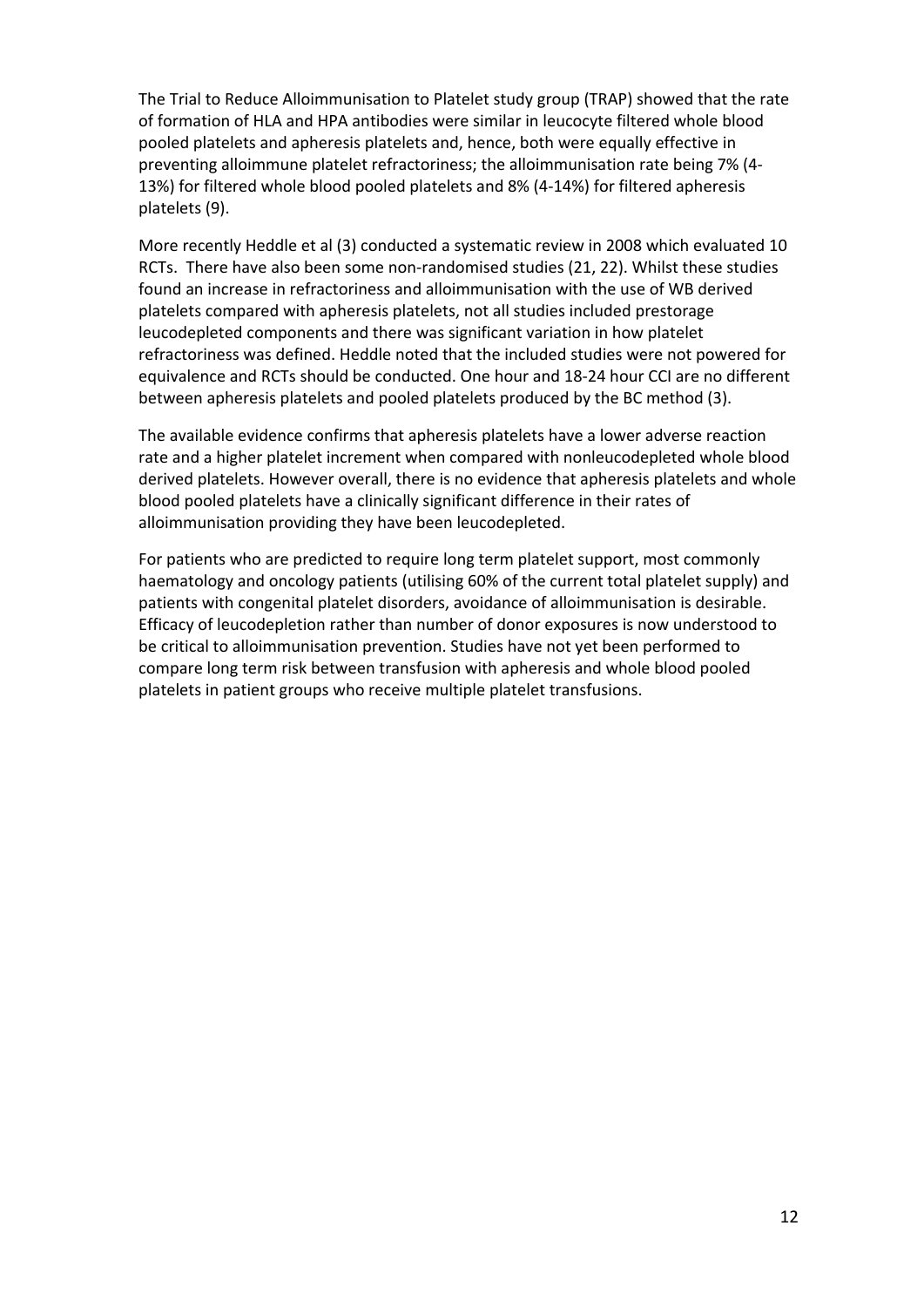The Trial to Reduce Alloimmunisation to Platelet study group (TRAP) showed that the rate of formation of HLA and HPA antibodies were similar in leucocyte filtered whole blood pooled platelets and apheresis platelets and, hence, both were equally effective in preventing alloimmune platelet refractoriness; the alloimmunisation rate being 7% (4‐ 13%) for filtered whole blood pooled platelets and 8% (4‐14%) for filtered apheresis platelets (9).

More recently Heddle et al (3) conducted a systematic review in 2008 which evaluated 10 RCTs. There have also been some non‐randomised studies (21, 22). Whilst these studies found an increase in refractoriness and alloimmunisation with the use of WB derived platelets compared with apheresis platelets, not all studies included prestorage leucodepleted components and there was significant variation in how platelet refractoriness was defined. Heddle noted that the included studies were not powered for equivalence and RCTs should be conducted. One hour and 18‐24 hour CCI are no different between apheresis platelets and pooled platelets produced by the BC method (3).

The available evidence confirms that apheresis platelets have a lower adverse reaction rate and a higher platelet increment when compared with nonleucodepleted whole blood derived platelets. However overall, there is no evidence that apheresis platelets and whole blood pooled platelets have a clinically significant difference in their rates of alloimmunisation providing they have been leucodepleted.

For patients who are predicted to require long term platelet support, most commonly haematology and oncology patients (utilising 60% of the current total platelet supply) and patients with congenital platelet disorders, avoidance of alloimmunisation is desirable. Efficacy of leucodepletion rather than number of donor exposures is now understood to be critical to alloimmunisation prevention. Studies have not yet been performed to compare long term risk between transfusion with apheresis and whole blood pooled platelets in patient groups who receive multiple platelet transfusions.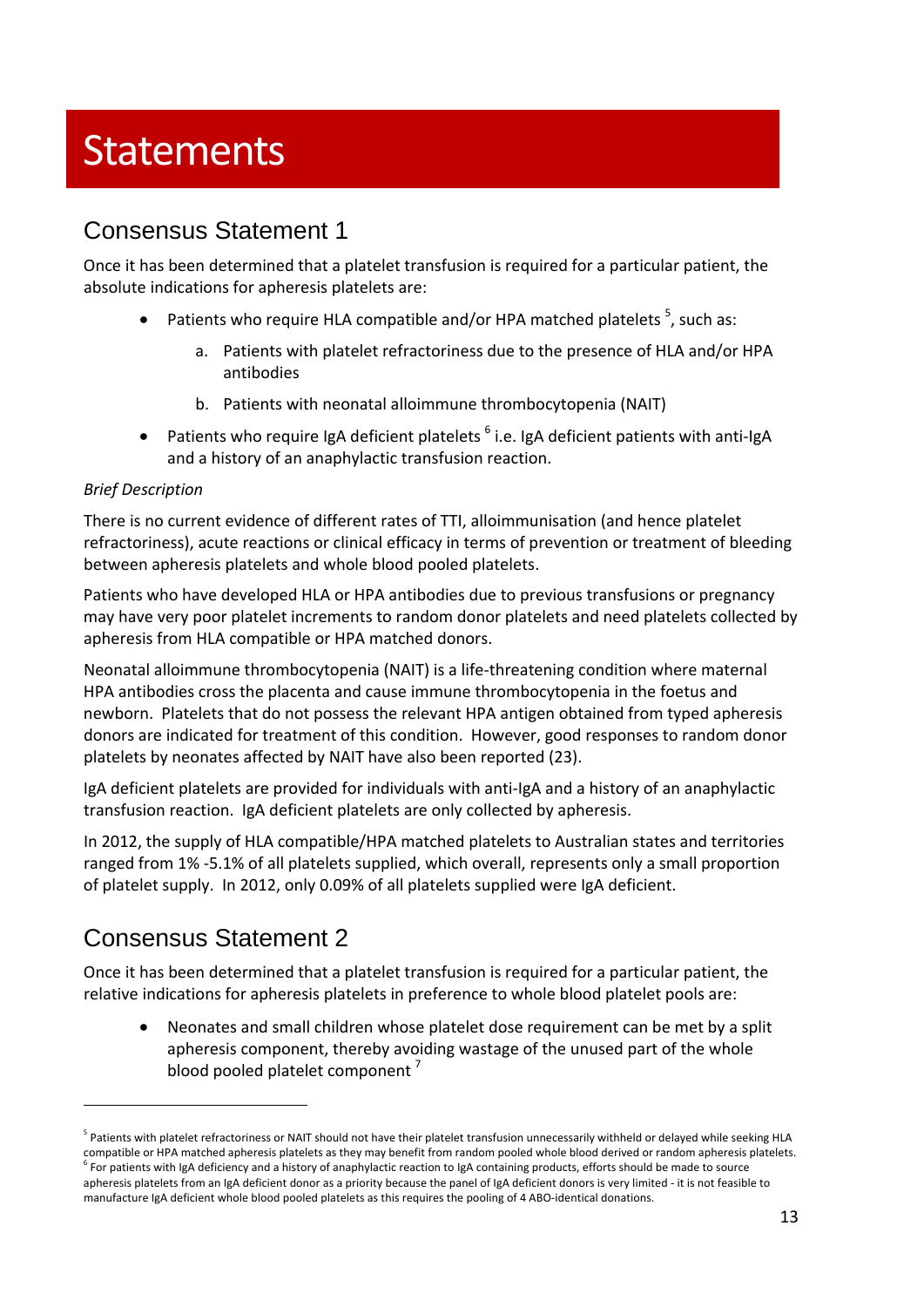# **Statements**

# Consensus Statement 1

Once it has been determined that a platelet transfusion is required for a particular patient, the absolute indications for apheresis platelets are:

- Patients who require HLA compatible and/or HPA matched platelets  $5$ , such as:
	- a. Patients with platelet refractoriness due to the presence of HLA and/or HPA antibodies
	- b. Patients with neonatal alloimmune thrombocytopenia (NAIT)
- **•** Patients who require IgA deficient platelets  $6$  i.e. IgA deficient patients with anti-IgA and a history of an anaphylactic transfusion reaction.

#### *Brief Description*

There is no current evidence of different rates of TTI, alloimmunisation (and hence platelet refractoriness), acute reactions or clinical efficacy in terms of prevention or treatment of bleeding between apheresis platelets and whole blood pooled platelets.

Patients who have developed HLA or HPA antibodies due to previous transfusions or pregnancy may have very poor platelet increments to random donor platelets and need platelets collected by apheresis from HLA compatible or HPA matched donors.

Neonatal alloimmune thrombocytopenia (NAIT) is a life‐threatening condition where maternal HPA antibodies cross the placenta and cause immune thrombocytopenia in the foetus and newborn. Platelets that do not possess the relevant HPA antigen obtained from typed apheresis donors are indicated for treatment of this condition. However, good responses to random donor platelets by neonates affected by NAIT have also been reported (23).

IgA deficient platelets are provided for individuals with anti‐IgA and a history of an anaphylactic transfusion reaction. IgA deficient platelets are only collected by apheresis.

In 2012, the supply of HLA compatible/HPA matched platelets to Australian states and territories ranged from 1% ‐5.1% of all platelets supplied, which overall, represents only a small proportion of platelet supply. In 2012, only 0.09% of all platelets supplied were IgA deficient.

# Consensus Statement 2

Once it has been determined that a platelet transfusion is required for a particular patient, the relative indications for apheresis platelets in preference to whole blood platelet pools are:

 Neonates and small children whose platelet dose requirement can be met by a split apheresis component, thereby avoiding wastage of the unused part of the whole blood pooled platelet component<sup>7</sup>

<sup>&</sup>lt;sup>5</sup> Patients with platelet refractoriness or NAIT should not have their platelet transfusion unnecessarily withheld or delayed while seeking HLA compatible or HPA matched apheresis platelets as they may benefit from random pooled whole blood derived or random apheresis platelets.  $^6$  For patients with IgA deficiency and a history of anaphylactic reaction to IgA containing products, efforts should be made to source

apheresis platelets from an IgA deficient donor as a priority because the panel of IgA deficient donors is very limited ‐ it is not feasible to manufacture IgA deficient whole blood pooled platelets as this requires the pooling of 4 ABO‐identical donations.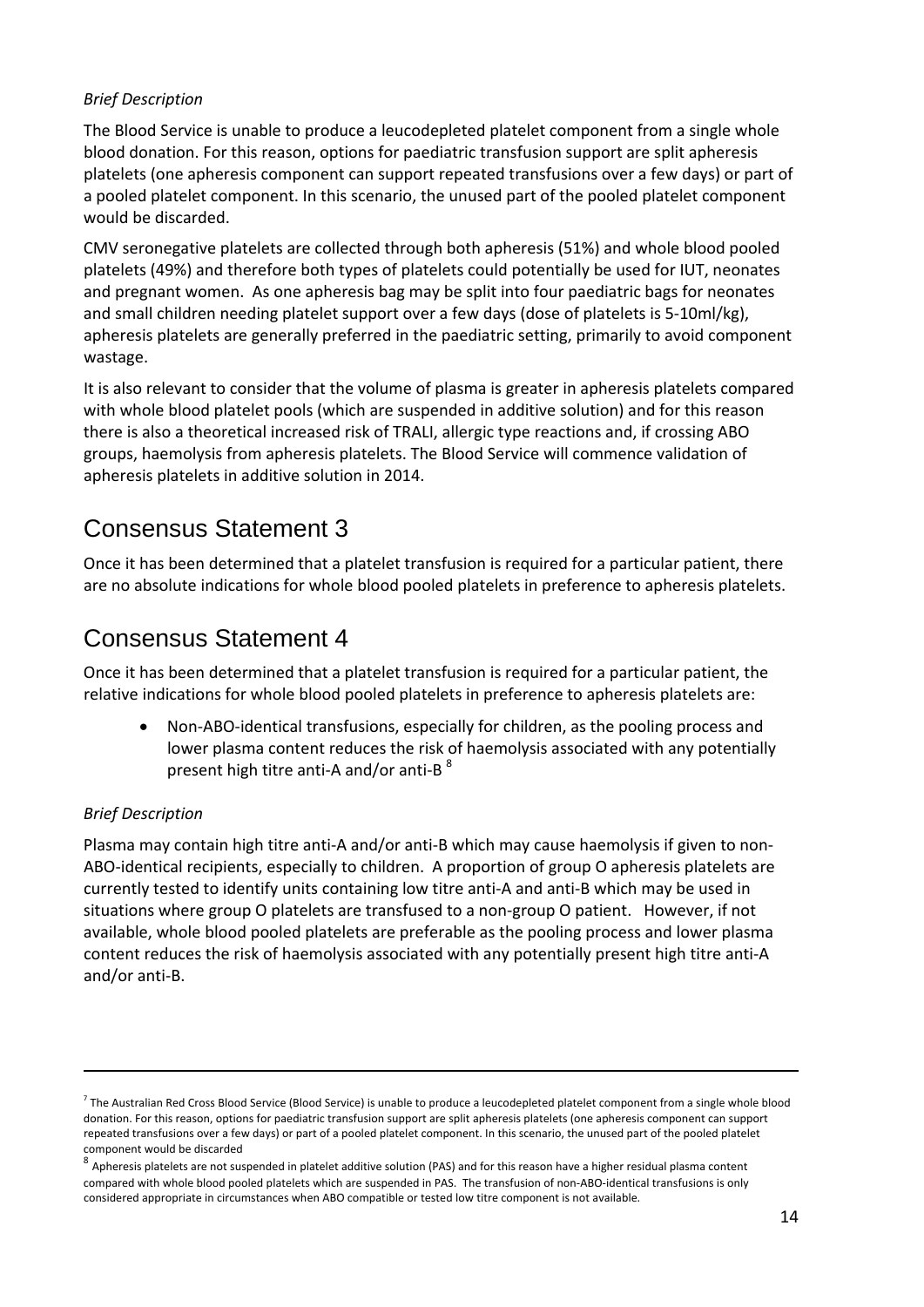### *Brief Description*

The Blood Service is unable to produce a leucodepleted platelet component from a single whole blood donation. For this reason, options for paediatric transfusion support are split apheresis platelets (one apheresis component can support repeated transfusions over a few days) or part of a pooled platelet component. In this scenario, the unused part of the pooled platelet component would be discarded.

CMV seronegative platelets are collected through both apheresis (51%) and whole blood pooled platelets (49%) and therefore both types of platelets could potentially be used for IUT, neonates and pregnant women. As one apheresis bag may be split into four paediatric bags for neonates and small children needing platelet support over a few days (dose of platelets is 5‐10ml/kg), apheresis platelets are generally preferred in the paediatric setting, primarily to avoid component wastage.

It is also relevant to consider that the volume of plasma is greater in apheresis platelets compared with whole blood platelet pools (which are suspended in additive solution) and for this reason there is also a theoretical increased risk of TRALI, allergic type reactions and, if crossing ABO groups, haemolysis from apheresis platelets. The Blood Service will commence validation of apheresis platelets in additive solution in 2014.

# Consensus Statement 3

Once it has been determined that a platelet transfusion is required for a particular patient, there are no absolute indications for whole blood pooled platelets in preference to apheresis platelets.

# Consensus Statement 4

Once it has been determined that a platelet transfusion is required for a particular patient, the relative indications for whole blood pooled platelets in preference to apheresis platelets are:

 Non‐ABO‐identical transfusions, especially for children, as the pooling process and lower plasma content reduces the risk of haemolysis associated with any potentially present high titre anti-A and/or anti-B  $^8$ 

### *Brief Description*

Plasma may contain high titre anti‐A and/or anti‐B which may cause haemolysis if given to non‐ ABO-identical recipients, especially to children. A proportion of group O apheresis platelets are currently tested to identify units containing low titre anti‐A and anti‐B which may be used in situations where group O platelets are transfused to a non‐group O patient. However, if not available, whole blood pooled platelets are preferable as the pooling process and lower plasma content reduces the risk of haemolysis associated with any potentially present high titre anti‐A and/or anti‐B.

<u> 1989 - Andrea Santa Andrea Santa Andrea Santa Andrea Santa Andrea Santa Andrea Santa Andrea Santa Andrea San</u>

 $^7$  The Australian Red Cross Blood Service (Blood Service) is unable to produce a leucodepleted platelet component from a single whole blood donation. For this reason, options for paediatric transfusion support are split apheresis platelets (one apheresis component can support repeated transfusions over a few days) or part of a pooled platelet component. In this scenario, the unused part of the pooled platelet component would be discarded<br><sup>8</sup> Apheresis platelets are not suspended in platelet additive solution (PAS) and for this reason have a higher residual plasma content

compared with whole blood pooled platelets which are suspended in PAS. The transfusion of non‐ABO‐identical transfusions is only considered appropriate in circumstances when ABO compatible or tested low titre component is not available.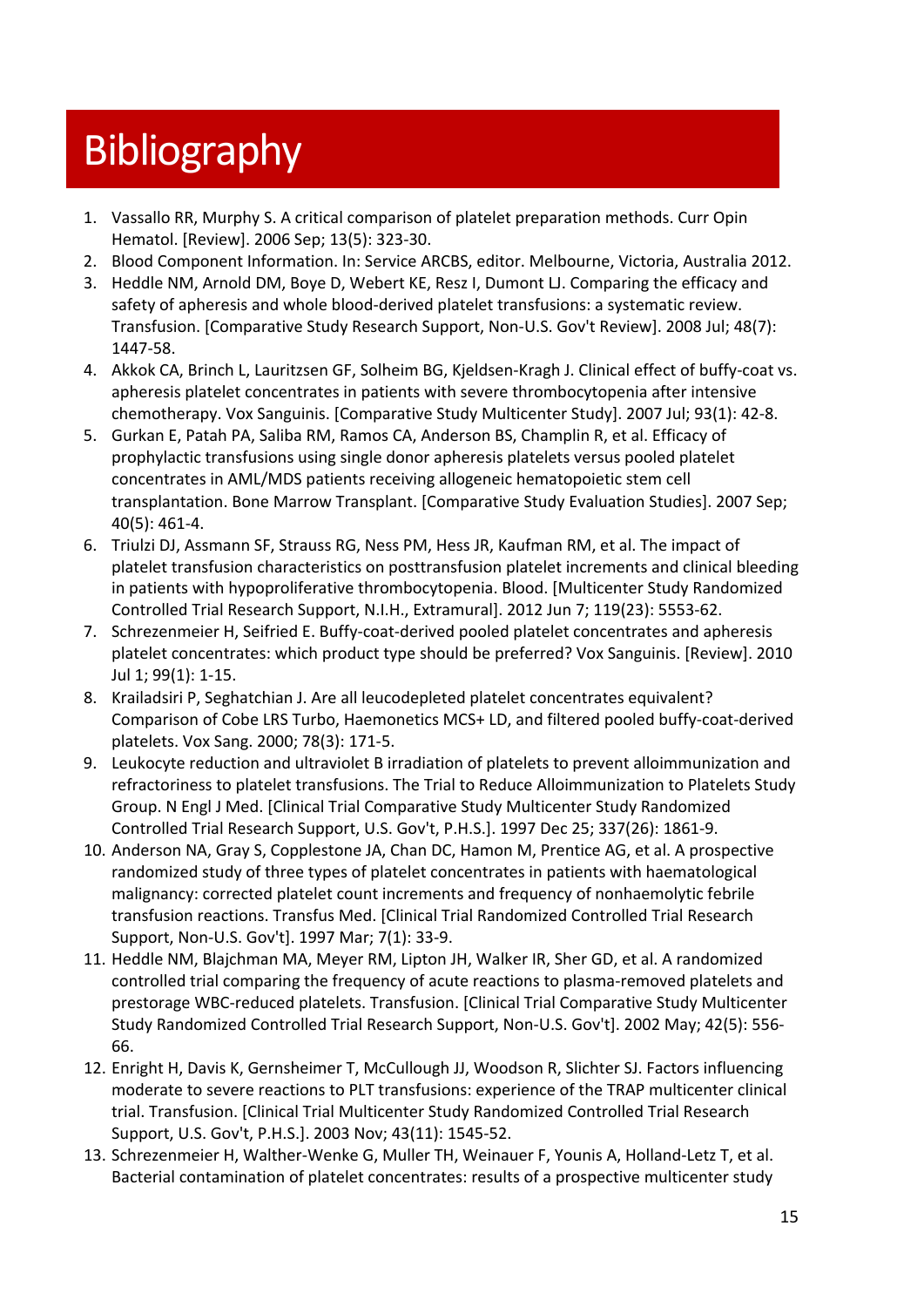# **Bibliography**

- 1. Vassallo RR, Murphy S. A critical comparison of platelet preparation methods. Curr Opin Hematol. [Review]. 2006 Sep; 13(5): 323‐30.
- 2. Blood Component Information. In: Service ARCBS, editor. Melbourne, Victoria, Australia 2012.
- 3. Heddle NM, Arnold DM, Boye D, Webert KE, Resz I, Dumont LJ. Comparing the efficacy and safety of apheresis and whole blood-derived platelet transfusions: a systematic review. Transfusion. [Comparative Study Research Support, Non‐U.S. Gov't Review]. 2008 Jul; 48(7): 1447‐58.
- 4. Akkok CA, Brinch L, Lauritzsen GF, Solheim BG, Kjeldsen-Kragh J. Clinical effect of buffy-coat vs. apheresis platelet concentrates in patients with severe thrombocytopenia after intensive chemotherapy. Vox Sanguinis. [Comparative Study Multicenter Study]. 2007 Jul; 93(1): 42‐8.
- 5. Gurkan E, Patah PA, Saliba RM, Ramos CA, Anderson BS, Champlin R, et al. Efficacy of prophylactic transfusions using single donor apheresis platelets versus pooled platelet concentrates in AML/MDS patients receiving allogeneic hematopoietic stem cell transplantation. Bone Marrow Transplant. [Comparative Study Evaluation Studies]. 2007 Sep; 40(5): 461‐4.
- 6. Triulzi DJ, Assmann SF, Strauss RG, Ness PM, Hess JR, Kaufman RM, et al. The impact of platelet transfusion characteristics on posttransfusion platelet increments and clinical bleeding in patients with hypoproliferative thrombocytopenia. Blood. [Multicenter Study Randomized Controlled Trial Research Support, N.I.H., Extramural]. 2012 Jun 7; 119(23): 5553‐62.
- 7. Schrezenmeier H, Seifried E. Buffy-coat-derived pooled platelet concentrates and apheresis platelet concentrates: which product type should be preferred? Vox Sanguinis. [Review]. 2010 Jul 1; 99(1): 1‐15.
- 8. Krailadsiri P, Seghatchian J. Are all leucodepleted platelet concentrates equivalent? Comparison of Cobe LRS Turbo, Haemonetics MCS+ LD, and filtered pooled buffy‐coat‐derived platelets. Vox Sang. 2000; 78(3): 171‐5.
- 9. Leukocyte reduction and ultraviolet B irradiation of platelets to prevent alloimmunization and refractoriness to platelet transfusions. The Trial to Reduce Alloimmunization to Platelets Study Group. N Engl J Med. [Clinical Trial Comparative Study Multicenter Study Randomized Controlled Trial Research Support, U.S. Gov't, P.H.S.]. 1997 Dec 25; 337(26): 1861‐9.
- 10. Anderson NA, Gray S, Copplestone JA, Chan DC, Hamon M, Prentice AG, et al. A prospective randomized study of three types of platelet concentrates in patients with haematological malignancy: corrected platelet count increments and frequency of nonhaemolytic febrile transfusion reactions. Transfus Med. [Clinical Trial Randomized Controlled Trial Research Support, Non‐U.S. Gov't]. 1997 Mar; 7(1): 33‐9.
- 11. Heddle NM, Blajchman MA, Meyer RM, Lipton JH, Walker IR, Sher GD, et al. A randomized controlled trial comparing the frequency of acute reactions to plasma‐removed platelets and prestorage WBC‐reduced platelets. Transfusion. [Clinical Trial Comparative Study Multicenter Study Randomized Controlled Trial Research Support, Non‐U.S. Gov't]. 2002 May; 42(5): 556‐ 66.
- 12. Enright H, Davis K, Gernsheimer T, McCullough JJ, Woodson R, Slichter SJ. Factors influencing moderate to severe reactions to PLT transfusions: experience of the TRAP multicenter clinical trial. Transfusion. [Clinical Trial Multicenter Study Randomized Controlled Trial Research Support, U.S. Gov't, P.H.S.]. 2003 Nov; 43(11): 1545‐52.
- 13. Schrezenmeier H, Walther‐Wenke G, Muller TH, Weinauer F, Younis A, Holland‐Letz T, et al. Bacterial contamination of platelet concentrates: results of a prospective multicenter study